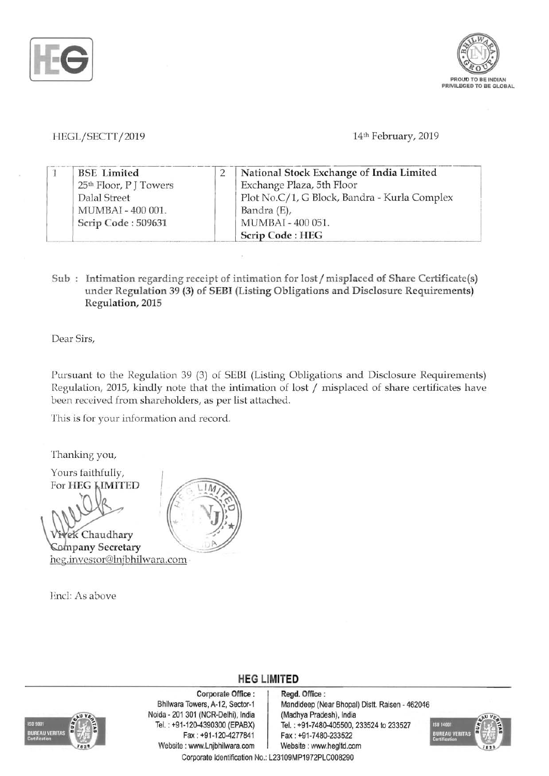



## HEGL/SECTT/2019 14th February, 2019

| <b>BSE</b> Limited                 |  | National Stock Exchange of India Limited     |
|------------------------------------|--|----------------------------------------------|
| 25 <sup>th</sup> Floor, P J Towers |  | Exchange Plaza, 5th Floor                    |
| Dalal Street                       |  | Plot No.C/1, G Block, Bandra - Kurla Complex |
| MUMBAI - 400 001.                  |  | Bandra (E),                                  |
| Scrip Code: 509631                 |  | MUMBAI - 400 051.                            |
|                                    |  | Scrip Code: HEG                              |

Sub : Intimation regarding receipt of intimation for lost / misplaced of Share Certificate(s) under Regulation 39 (3) of SEBI (Listing Obligations and Disclosure Requirements) Regulation, 2015

Dear Sirs,

Pursuant to the Regulation 39 (3) of SEB! (Listing Obligations and Disclosure Requirements) Regulation, 2015, kindly note that the intimation of lost / misplaced of share certificates have been received from shareholders, as per list attached.

This is for your information and record.

Thanking you,

Yours faithfully, For HEG **LIMITED** 

'\-

ek Chaudhary Company Secretary heg.investor@lnjbhilwara.com

Encl: As above





Corporate Office : | Regd. Office : Noida - 201 301 (NCR-Delhi), India (Madhya Pradesh), India Fax : +91-120-4277841 Fax: +91-7480-233522 Website: www.Lnjbhilwara.com | Website: www.hegltd.com

Bhilwara Towers, A-12, Sector-1 | Mandideep (Near Bhopal) Distt. Raisen - 462046 Tel. : +91-120-4390300 (EPABX) Tel. : +91-7480-405500, 233524 to 233527



Corporate Identification No.: L23109MP1972PLC008290

**HEG LIMITED**